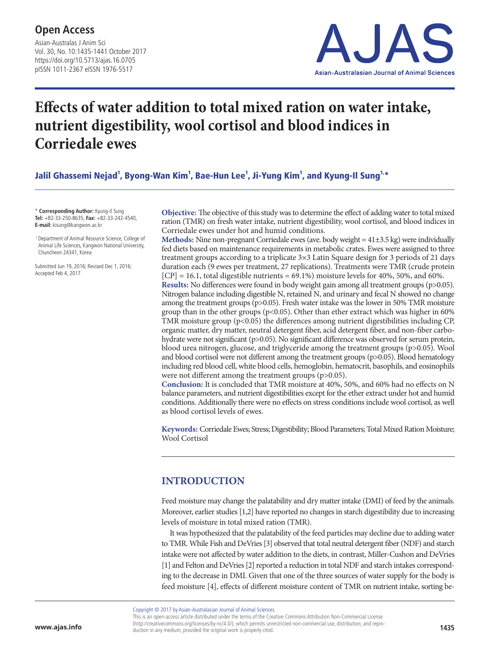Asian-Australas J Anim Sci Vol. 30, No. 10:1435-1441 October 2017 https://doi.org/10.5713/ajas.16.0705 pISSN 1011-2367 eISSN 1976-5517



# **Effects of water addition to total mixed ration on water intake, nutrient digestibility, wool cortisol and blood indices in Corriedale ewes**

Jalil Ghassemi Nejad<sup>1</sup>, Byong-Wan Kim<sup>1</sup>, Bae-Hun Lee<sup>1</sup>, Ji-Yung Kim<sup>1</sup>, and Kyung-Il Sung<sup>1.</sup>\*

\* **Corresponding Author:** Kyung-Il Sung **Tel:** +82-33-250-8635, **Fax:** +82-33-242-4540, **E-mail:** kisung@kangwon.ac.kr

 1 Department of Animal Resource Science, College of Animal Life Sciences, Kangwon National University, Chuncheon 24341, Korea

Submitted Jun 19, 2016; Revised Dec 1, 2016; Accepted Feb 4, 2017

**Objective:** The objective of this study was to determine the effect of adding water to total mixed ration (TMR) on fresh water intake, nutrient digestibility, wool cortisol, and blood indices in Corriedale ewes under hot and humid conditions.

**Methods:** Nine non-pregnant Corriedale ewes (ave. body weight = 41±3.5 kg) were individually fed diets based on maintenance requirements in metabolic crates. Ewes were assigned to three treatment groups according to a triplicate 3×3 Latin Square design for 3 periods of 21 days duration each (9 ewes per treatment, 27 replications). Treatments were TMR (crude protein  $[CP] = 16.1$ , total digestible nutrients = 69.1%) moisture levels for 40%, 50%, and 60%.

**Results:** No differences were found in body weight gain among all treatment groups (p>0.05). Nitrogen balance including digestible N, retained N, and urinary and fecal N showed no change among the treatment groups (p>0.05). Fresh water intake was the lower in 50% TMR moisture group than in the other groups ( $p<0.05$ ). Other than ether extract which was higher in 60% TMR moisture group  $(p<0.05)$  the differences among nutrient digestibilities including CP, organic matter, dry matter, neutral detergent fiber, acid detergent fiber, and non-fiber carbohydrate were not significant (p>0.05). No significant difference was observed for serum protein, blood urea nitrogen, glucose, and triglyceride among the treatment groups (p>0.05). Wool and blood cortisol were not different among the treatment groups  $(p>0.05)$ . Blood hematology including red blood cell, white blood cells, hemoglobin, hematocrit, basophils, and eosinophils were not different among the treatment groups (p>0.05).

**Conclusion:** It is concluded that TMR moisture at 40%, 50%, and 60% had no effects on N balance parameters, and nutrient digestibilities except for the ether extract under hot and humid conditions. Additionally there were no effects on stress conditions include wool cortisol, as well as blood cortisol levels of ewes.

**Keywords:** Corriedale Ewes; Stress; Digestibility; Blood Parameters; Total Mixed Ration Moisture; Wool Cortisol

## **INTRODUCTION**

Feed moisture may change the palatability and dry matter intake (DMI) of feed by the animals. Moreover, earlier studies [1,2] have reported no changes in starch digestibility due to increasing levels of moisture in total mixed ration (TMR).

It was hypothesized that the palatability of the feed particles may decline due to adding water to TMR. While Fish and DeVries [3] observed that total neutral detergent fiber (NDF) and starch intake were not affected by water addition to the diets, in contrast, Miller-Cushon and DeVries [1] and Felton and DeVries [2] reported a reduction in total NDF and starch intakes corresponding to the decrease in DMI. Given that one of the three sources of water supply for the body is feed moisture [4], effects of different moisture content of TMR on nutrient intake, sorting be-

Copyright © 2017 by Asian-Australasian Journal of Animal Sciences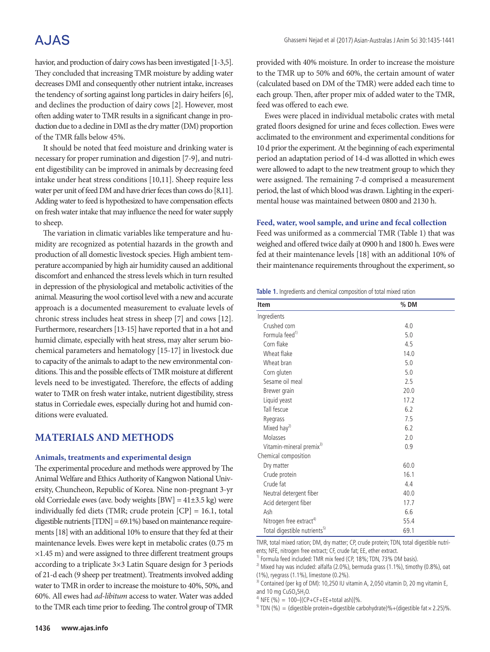## A.JAS

havior, and production of dairy cows has been investigated [1-3,5]. They concluded that increasing TMR moisture by adding water decreases DMI and consequently other nutrient intake, increases the tendency of sorting against long particles in dairy heifers [6], and declines the production of dairy cows [2]. However, most often adding water to TMR results in a significant change in production due to a decline in DMI as the dry matter (DM) proportion of the TMR falls below 45%.

It should be noted that feed moisture and drinking water is necessary for proper rumination and digestion [7-9], and nutrient digestibility can be improved in animals by decreasing feed intake under heat stress conditions [10,11]. Sheep require less water per unit of feed DM and have drier feces than cows do [8,11]. Adding water to feed is hypothesized to have compensation effects on fresh water intake that may influence the need for water supply to sheep.

The variation in climatic variables like temperature and humidity are recognized as potential hazards in the growth and production of all domestic livestock species. High ambient temperature accompanied by high air humidity caused an additional discomfort and enhanced the stress levels which in turn resulted in depression of the physiological and metabolic activities of the animal. Measuring the wool cortisol level with a new and accurate approach is a documented measurement to evaluate levels of chronic stress includes heat stress in sheep [7] and cows [12]. Furthermore, researchers [13-15] have reported that in a hot and humid climate, especially with heat stress, may alter serum biochemical parameters and hematology [15-17] in livestock due to capacity of the animals to adapt to the new environmental conditions. This and the possible effects of TMR moisture at different levels need to be investigated. Therefore, the effects of adding water to TMR on fresh water intake, nutrient digestibility, stress status in Corriedale ewes, especially during hot and humid conditions were evaluated.

#### **MATERIALS AND METHODS**

#### **Animals, treatments and experimental design**

The experimental procedure and methods were approved by The Animal Welfare and Ethics Authority of Kangwon National University, Chuncheon, Republic of Korea. Nine non-pregnant 3-yr old Corriedale ewes (ave. body weights  $[BW] = 41 \pm 3.5$  kg) were individually fed diets (TMR; crude protein [CP] = 16.1, total digestible nutrients [TDN] = 69.1%) based on maintenance requirements [18] with an additional 10% to ensure that they fed at their maintenance levels. Ewes were kept in metabolic crates (0.75 m ×1.45 m) and were assigned to three different treatment groups according to a triplicate 3×3 Latin Square design for 3 periods of 21-d each (9 sheep per treatment). Treatments involved adding water to TMR in order to increase the moisture to 40%, 50%, and 60%. All ewes had *ad-libitum* access to water. Water was added to the TMR each time prior to feeding. The control group of TMR provided with 40% moisture. In order to increase the moisture to the TMR up to 50% and 60%, the certain amount of water (calculated based on DM of the TMR) were added each time to each group. Then, after proper mix of added water to the TMR, feed was offered to each ewe.

Ewes were placed in individual metabolic crates with metal grated floors designed for urine and feces collection. Ewes were acclimated to the environment and experimental conditions for 10 d prior the experiment. At the beginning of each experimental period an adaptation period of 14-d was allotted in which ewes were allowed to adapt to the new treatment group to which they were assigned. The remaining 7-d comprised a measurement period, the last of which blood was drawn. Lighting in the experimental house was maintained between 0800 and 2130 h.

#### **Feed, water, wool sample, and urine and fecal collection**

Feed was uniformed as a commercial TMR (Table 1) that was weighed and offered twice daily at 0900 h and 1800 h. Ewes were fed at their maintenance levels [18] with an additional 10% of their maintenance requirements throughout the experiment, so

|  |  | Table 1. Ingredients and chemical composition of total mixed ration |  |  |
|--|--|---------------------------------------------------------------------|--|--|
|  |  |                                                                     |  |  |

| <b>Item</b>                              | $%$ DM |
|------------------------------------------|--------|
| Ingredients                              |        |
| Crushed corn                             | 4.0    |
| Formula feed <sup>1)</sup>               | 5.0    |
| Corn flake                               | 4.5    |
| Wheat flake                              | 14.0   |
| Wheat bran                               | 5.0    |
| Corn gluten                              | 5.0    |
| Sesame oil meal                          | 2.5    |
| Brewer grain                             | 20.0   |
| Liquid yeast                             | 17.2   |
| Tall fescue                              | 6.2    |
| Ryegrass                                 | 7.5    |
| Mixed hay <sup>2)</sup>                  | 6.2    |
| Molasses                                 | 2.0    |
| Vitamin-mineral premix <sup>3)</sup>     | 0.9    |
| Chemical composition                     |        |
| Dry matter                               | 60.0   |
| Crude protein                            | 16.1   |
| Crude fat                                | 4.4    |
| Neutral detergent fiber                  | 40.0   |
| Acid detergent fiber                     | 17.7   |
| Ash                                      | 6.6    |
| Nitrogen free extract <sup>4)</sup>      | 55.4   |
| Total digestible nutrients <sup>5)</sup> | 69.1   |

TMR, total mixed ration; DM, dry matter; CP, crude protein; TDN, total digestible nutrients; NFE, nitrogen free extract; CF, crude fat; EE, ether extract.

<sup>1)</sup> Formula feed included: TMR mix feed (CP, 18%; TDN, 73% DM basis).

 $^{2)}$  Mixed hay was included: alfalfa (2.0%), bermuda grass (1.1%), timothy (0.8%), oat (1%), ryegrass (1.1%), limestone (0.2%).

 $3$ ) Contained (per kg of DM): 10,250 IU vitamin A, 2,050 vitamin D, 20 mg vitamin E, and 10 mg  $CuSO<sub>4</sub>5H<sub>2</sub>O$ .

 $^{4)}$  NFE (%) = 100-[(CP+CF+EE+total ash)]%.

<sup>5)</sup> TDN (%) = (digestible protein+digestible carbohydrate)%+(digestible fat  $\times$  2.25)%.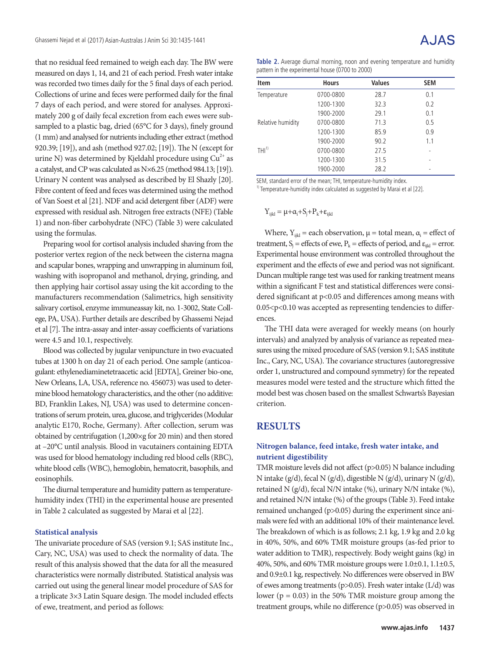that no residual feed remained to weigh each day. The BW were measured on days 1, 14, and 21 of each period. Fresh water intake was recorded two times daily for the 5 final days of each period. Collections of urine and feces were performed daily for the final 7 days of each period, and were stored for analyses. Approximately 200 g of daily fecal excretion from each ewes were subsampled to a plastic bag, dried (65°C for 3 days), finely ground (1 mm) and analysed for nutrients including ether extract (method 920.39; [19]), and ash (method 927.02; [19]). The N (except for urine N) was determined by Kjeldahl procedure using  $Cu^{2+}$  as a catalyst, and CP was calculated as N×6.25 (method 984.13; [19]). Urinary N content was analysed as described by El Shazly [20]. Fibre content of feed and feces was determined using the method of Van Soest et al [21]. NDF and acid detergent fiber (ADF) were expressed with residual ash. Nitrogen free extracts (NFE) (Table 1) and non-fiber carbohydrate (NFC) (Table 3) were calculated using the formulas.

Preparing wool for cortisol analysis included shaving from the posterior vertex region of the neck between the cisterna magna and scapular bones, wrapping and unwrapping in aluminum foil, washing with isopropanol and methanol, drying, grinding, and then applying hair cortisol assay using the kit according to the manufacturers recommendation (Salimetrics, high sensitivity salivary cortisol, enzyme immuneassay kit, no. 1-3002, State College, PA, USA). Further details are described by Ghassemi Nejad et al [7]. The intra-assay and inter-assay coefficients of variations were 4.5 and 10.1, respectively.

Blood was collected by jugular venipuncture in two evacuated tubes at 1300 h on day 21 of each period. One sample (anticoagulant: ethylenediaminetetraacetic acid [EDTA], Greiner bio-one, New Orleans, LA, USA, reference no. 456073) was used to determine blood hematology characteristics, and the other (no additive: BD, Franklin Lakes, NJ, USA) was used to determine concentrations of serum protein, urea, glucose, and triglycerides (Modular analytic E170, Roche, Germany). After collection, serum was obtained by centrifugation (1,200×g for 20 min) and then stored at –20°C until analysis. Blood in vacutainers containing EDTA was used for blood hematology including red blood cells (RBC), white blood cells (WBC), hemoglobin, hematocrit, basophils, and eosinophils.

The diurnal temperature and humidity pattern as temperaturehumidity index (THI) in the experimental house are presented in Table 2 calculated as suggested by Marai et al [22].

#### **Statistical analysis**

The univariate procedure of SAS (version 9.1; SAS institute Inc., Cary, NC, USA) was used to check the normality of data. The result of this analysis showed that the data for all the measured characteristics were normally distributed. Statistical analysis was carried out using the general linear model procedure of SAS for a triplicate 3×3 Latin Square design. The model included effects of ewe, treatment, and period as follows:

**Table 2.** Average diurnal morning, noon and evening temperature and humidity pattern in the experimental house (0700 to 2000)

| <b>Item</b>       | <b>Hours</b> | <b>Values</b> | <b>SEM</b> |
|-------------------|--------------|---------------|------------|
| Temperature       | 0700-0800    | 28.7          | 0.1        |
|                   | 1200-1300    | 32.3          | 0.2        |
|                   | 1900-2000    | 29.1          | 0.1        |
| Relative humidity | 0700-0800    | 71.3          | 0.5        |
|                   | 1200-1300    | 85.9          | 0.9        |
|                   | 1900-2000    | 90.2          | 1.1        |
| THI <sup>1</sup>  | 0700-0800    | 27.5          |            |
|                   | 1200-1300    | 31.5          |            |
|                   | 1900-2000    | 28.2          |            |

SEM, standard error of the mean; THI, temperature-humidity index.

<sup>1)</sup> Temperature-humidity index calculated as suggested by Marai et al [22].

$$
Y_{ijkl} = \mu + \alpha_i + S_j + P_k + \epsilon_{ijkl}
$$

Where,  $Y_{ijkl}$  = each observation,  $\mu$  = total mean,  $\alpha_i$  = effect of treatment,  $S_j$  = effects of ewe,  $P_k$  = effects of period, and  $\varepsilon_{ijkl}$  = error. Experimental house environment was controlled throughout the experiment and the effects of ewe and period was not significant. Duncan multiple range test was used for ranking treatment means within a significant F test and statistical differences were considered significant at p<0.05 and differences among means with  $0.05 < p < 0.10$  was accepted as representing tendencies to differences.

The THI data were averaged for weekly means (on hourly intervals) and analyzed by analysis of variance as repeated measures using the mixed procedure of SAS (version 9.1; SAS institute Inc., Cary, NC, USA). The covariance structures (autoregressive order 1, unstructured and compound symmetry) for the repeated measures model were tested and the structure which fitted the model best was chosen based on the smallest Schwarts's Bayesian criterion.

#### **RESULTS**

#### **Nitrogen balance, feed intake, fresh water intake, and nutrient digestibility**

TMR moisture levels did not affect (p>0.05) N balance including N intake (g/d), fecal N (g/d), digestible N (g/d), urinary N (g/d), retained N (g/d), fecal N/N intake (%), urinary N/N intake (%), and retained N/N intake (%) of the groups (Table 3). Feed intake remained unchanged (p>0.05) during the experiment since animals were fed with an additional 10% of their maintenance level. The breakdown of which is as follows; 2.1 kg, 1.9 kg and 2.0 kg in 40%, 50%, and 60% TMR moisture groups (as-fed prior to water addition to TMR), respectively. Body weight gains (kg) in 40%, 50%, and 60% TMR moisture groups were 1.0±0.1, 1.1±0.5, and 0.9±0.1 kg, respectively. No differences were observed in BW of ewes among treatments (p>0.05). Fresh water intake (L/d) was lower ( $p = 0.03$ ) in the 50% TMR moisture group among the treatment groups, while no difference (p>0.05) was observed in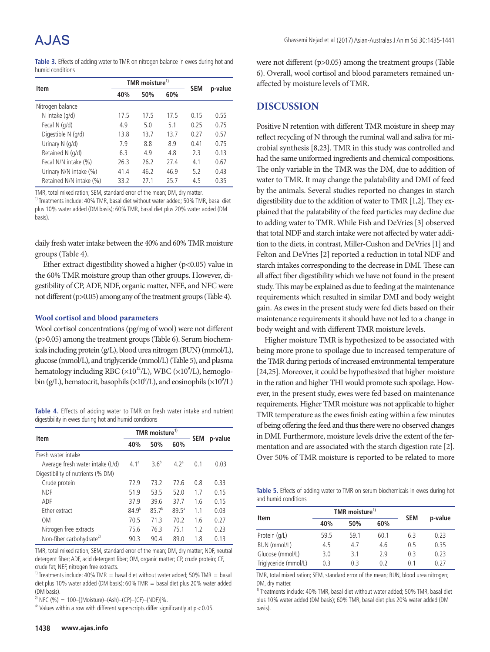**Table 3.** Effects of adding water to TMR on nitrogen balance in ewes during hot and humid conditions

| <b>Item</b>             |      | TMR moisture <sup>1)</sup> | <b>SEM</b> |      |         |
|-------------------------|------|----------------------------|------------|------|---------|
|                         | 40%  | 50%                        | 60%        |      | p-value |
| Nitrogen balance        |      |                            |            |      |         |
| N intake $(q/d)$        | 17.5 | 17.5                       | 17.5       | 0.15 | 0.55    |
| Fecal $N$ (g/d)         | 4.9  | 5.0                        | 5.1        | 0.25 | 0.75    |
| Digestible N (g/d)      | 13.8 | 13.7                       | 13.7       | 0.27 | 0.57    |
| Urinary $N$ ( $q/d$ )   | 7.9  | 8.8                        | 8.9        | 0.41 | 0.75    |
| Retained N (g/d)        | 6.3  | 4.9                        | 4.8        | 2.3  | 0.13    |
| Fecal N/N intake (%)    | 26.3 | 26.2                       | 27.4       | 4.1  | 0.67    |
| Urinary N/N intake (%)  | 41.4 | 46.2                       | 46.9       | 5.2  | 0.43    |
| Retained N/N intake (%) | 33.2 | 27.1                       | 25.7       | 4.5  | 0.35    |

TMR, total mixed ration; SEM, standard error of the mean; DM, dry matter.

<sup>1)</sup> Treatments include: 40% TMR, basal diet without water added; 50% TMR, basal diet plus 10% water added (DM basis); 60% TMR, basal diet plus 20% water added (DM basis).

daily fresh water intake between the 40% and 60% TMR moisture groups (Table 4).

Ether extract digestibility showed a higher ( $p$ <0.05) value in the 60% TMR moisture group than other groups. However, digestibility of CP, ADF, NDF, organic matter, NFE, and NFC were not different (p>0.05) among any of the treatment groups (Table 4).

#### **Wool cortisol and blood parameters**

Wool cortisol concentrations (pg/mg of wool) were not different (p>0.05) among the treatment groups (Table 6). Serum biochemicals including protein (g/L), blood urea nitrogen (BUN) (mmol/L), glucose (mmol/L), and triglyceride (mmol/L) (Table 5), and plasma hematology including RBC ( $\times 10^{12}$ /L), WBC ( $\times 10^{9}$ /L), hemoglobin (g/L), hematocrit, basophils ( $\times 10^9$ /L), and eosinophils ( $\times 10^9$ /L)

**Table 4.** Effects of adding water to TMR on fresh water intake and nutrient digestibility in ewes during hot and humid conditions

|                                      |            | TMR moisture <sup>1)</sup> |                  |            |         |
|--------------------------------------|------------|----------------------------|------------------|------------|---------|
| Item                                 | 40%        | 50%                        | 60%              | <b>SEM</b> | p-value |
| Fresh water intake                   |            |                            |                  |            |         |
| Average fresh water intake (L/d)     | $4.1^a$    | 3.6 <sup>b</sup>           | 4.2 <sup>a</sup> | 0.1        | 0.03    |
| Digestibility of nutrients (% DM)    |            |                            |                  |            |         |
| Crude protein                        | 72.9       | 73.2                       | 72.6             | 0.8        | 0.33    |
| <b>NDF</b>                           | 51.9       | 53.5                       | 52.0             | 1.7        | 0.15    |
| ADF                                  | 37.9       | 39.6                       | 37.7             | 1.6        | 0.15    |
| Ether extract                        | $84.9^{b}$ | $85.7^{b}$                 | $89.5^{\circ}$   | 1.1        | 0.03    |
| 0 <sub>M</sub>                       | 70.5       | 71.3                       | 70.2             | 1.6        | 0.27    |
| Nitrogen free extracts               | 75.6       | 76.3                       | 75.1             | 1.2        | 0.23    |
| Non-fiber carbohydrate <sup>2)</sup> | 90.3       | 90.4                       | 89.0             | 1.8        | 0.13    |

TMR, total mixed ration; SEM, standard error of the mean; DM, dry matter; NDF, neutral detergent fiber; ADF, acid detergent fiber; OM, organic matter; CP, crude protein; CF, crude fat; NEF, nitrogen free extracts.

<sup>1)</sup> Treatments include: 40% TMR = basal diet without water added; 50% TMR = basal diet plus 10% water added (DM basis); 60% TMR = basal diet plus 20% water added (DM basis).

<sup>2)</sup> NFC (%) = 100–[(Moisture)–(Ash)–(CP)–(CF)–(NDF)]%.

 $a<sup>b</sup>$  Values within a row with different superscripts differ significantly at  $p < 0.05$ .

were not different (p>0.05) among the treatment groups (Table 6). Overall, wool cortisol and blood parameters remained unaffected by moisture levels of TMR.

#### **DISCUSSION**

Positive N retention with different TMR moisture in sheep may reflect recycling of N through the ruminal wall and saliva for microbial synthesis [8,23]. TMR in this study was controlled and had the same uniformed ingredients and chemical compositions. The only variable in the TMR was the DM, due to addition of water to TMR. It may change the palatability and DMI of feed by the animals. Several studies reported no changes in starch digestibility due to the addition of water to TMR [1,2]. They explained that the palatability of the feed particles may decline due to adding water to TMR. While Fish and DeVries [3] observed that total NDF and starch intake were not affected by water addition to the diets, in contrast, Miller-Cushon and DeVries [1] and Felton and DeVries [2] reported a reduction in total NDF and starch intakes corresponding to the decrease in DMI. These can all affect fiber digestibility which we have not found in the present study. This may be explained as due to feeding at the maintenance requirements which resulted in similar DMI and body weight gain. As ewes in the present study were fed diets based on their maintenance requirements it should have not led to a change in body weight and with different TMR moisture levels.

Higher moisture TMR is hypothesized to be associated with being more prone to spoilage due to increased temperature of the TMR during periods of increased environmental temperature [24,25]. Moreover, it could be hypothesized that higher moisture in the ration and higher THI would promote such spoilage. However, in the present study, ewes were fed based on maintenance requirements. Higher TMR moisture was not applicable to higher TMR temperature as the ewes finish eating within a few minutes of being offering the feed and thus there were no observed changes in DMI. Furthermore, moisture levels drive the extent of the fermentation and are associated with the starch digestion rate [2]. Over 50% of TMR moisture is reported to be related to more

**Table 5.** Effects of adding water to TMR on serum biochemicals in ewes during hot and humid conditions

|                       |      | TMR moisture <sup>1)</sup> |      |            |         |  |
|-----------------------|------|----------------------------|------|------------|---------|--|
| Item                  | 40%  | 50%                        | 60%  | <b>SEM</b> | p-value |  |
| Protein (g/L)         | 59.5 | 59.1                       | 60.1 | 6.3        | 0.23    |  |
| BUN (mmol/L)          | 4.5  | 4.7                        | 4.6  | 0.5        | 0.35    |  |
| Glucose (mmol/L)      | 3.0  | 3.1                        | 2.9  | 0.3        | 0.23    |  |
| Triglyceride (mmol/L) | 0.3  | 0.3                        | 0.2  | 01         | 0.27    |  |

TMR, total mixed ration; SEM, standard error of the mean; BUN, blood urea nitrogen; DM, dry matter.

<sup>1)</sup> Treatments include: 40% TMR, basal diet without water added; 50% TMR, basal diet plus 10% water added (DM basis); 60% TMR, basal diet plus 20% water added (DM basis).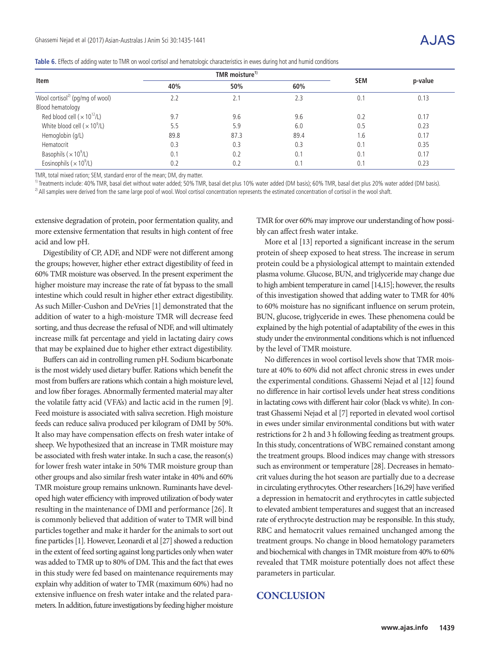|  |  | Table 6. Effects of adding water to TMR on wool cortisol and hematologic characteristics in ewes during hot and humid conditions |
|--|--|----------------------------------------------------------------------------------------------------------------------------------|
|  |  |                                                                                                                                  |

|                                                 |                   | TMR moisture <sup>1)</sup> |      |            |         |  |
|-------------------------------------------------|-------------------|----------------------------|------|------------|---------|--|
| Item                                            | 60%<br>40%<br>50% |                            |      | <b>SEM</b> | p-value |  |
| Wool cortisol <sup>2)</sup> (pg/mg of wool)     | 2.2               | 2.1                        | 2.3  | 0.1        | 0.13    |  |
| Blood hematology                                |                   |                            |      |            |         |  |
| Red blood cell ( $\times$ 10 <sup>12</sup> /L)  | 9.7               | 9.6                        | 9.6  | 0.2        | 0.17    |  |
| White blood cell ( $\times$ 10 <sup>9</sup> /L) | 5.5               | 5.9                        | 6.0  | 0.5        | 0.23    |  |
| Hemoglobin (g/L)                                | 89.8              | 87.3                       | 89.4 | 1.6        | 0.17    |  |
| Hematocrit                                      | 0.3               | 0.3                        | 0.3  | 0.1        | 0.35    |  |
| Basophils ( $\times$ 10 <sup>9</sup> /L)        | 0.1               | 0.2                        | 0.1  | 0.1        | 0.17    |  |
| Eosinophils ( $\times$ 10 <sup>9</sup> /L)      | 0.2               | 0.2                        | 0.1  | 0.1        | 0.23    |  |

TMR, total mixed ration; SEM, standard error of the mean; DM, dry matter.

<sup>1)</sup> Treatments include: 40% TMR, basal diet without water added; 50% TMR, basal diet plus 10% water added (DM basis); 60% TMR, basal diet plus 20% water added (DM basis) <sup>2)</sup> All samples were derived from the same large pool of wool. Wool cortisol concentration represents the estimated concentration of cortisol in the wool shaft.

extensive degradation of protein, poor fermentation quality, and more extensive fermentation that results in high content of free acid and low pH.

Digestibility of CP, ADF, and NDF were not different among the groups; however, higher ether extract digestibility of feed in 60% TMR moisture was observed. In the present experiment the higher moisture may increase the rate of fat bypass to the small intestine which could result in higher ether extract digestibility. As such Miller-Cushon and DeVries [1] demonstrated that the addition of water to a high-moisture TMR will decrease feed sorting, and thus decrease the refusal of NDF, and will ultimately increase milk fat percentage and yield in lactating dairy cows that may be explained due to higher ether extract digestibility.

Buffers can aid in controlling rumen pH. Sodium bicarbonate is the most widely used dietary buffer. Rations which benefit the most from buffers are rations which contain a high moisture level, and low fiber forages. Abnormally fermented material may alter the volatile fatty acid (VFA's) and lactic acid in the rumen [9]. Feed moisture is associated with saliva secretion. High moisture feeds can reduce saliva produced per kilogram of DMI by 50%. It also may have compensation effects on fresh water intake of sheep. We hypothesized that an increase in TMR moisture may be associated with fresh water intake. In such a case, the reason(s) for lower fresh water intake in 50% TMR moisture group than other groups and also similar fresh water intake in 40% and 60% TMR moisture group remains unknown. Ruminants have developed high water efficiency with improved utilization of body water resulting in the maintenance of DMI and performance [26]. It is commonly believed that addition of water to TMR will bind particles together and make it harder for the animals to sort out fine particles [1]. However, Leonardi et al [27] showed a reduction in the extent of feed sorting against long particles only when water was added to TMR up to 80% of DM. This and the fact that ewes in this study were fed based on maintenance requirements may explain why addition of water to TMR (maximum 60%) had no extensive influence on fresh water intake and the related parameters. In addition, future investigations by feeding higher moisture

TMR for over 60% may improve our understanding of how possibly can affect fresh water intake.

More et al [13] reported a significant increase in the serum protein of sheep exposed to heat stress. The increase in serum protein could be a physiological attempt to maintain extended plasma volume. Glucose, BUN, and triglyceride may change due to high ambient temperature in camel [14,15]; however, the results of this investigation showed that adding water to TMR for 40% to 60% moisture has no significant influence on serum protein, BUN, glucose, triglyceride in ewes. These phenomena could be explained by the high potential of adaptability of the ewes in this study under the environmental conditions which is not influenced by the level of TMR moisture.

No differences in wool cortisol levels show that TMR moisture at 40% to 60% did not affect chronic stress in ewes under the experimental conditions. Ghassemi Nejad et al [12] found no difference in hair cortisol levels under heat stress conditions in lactating cows with different hair color (black vs white). In contrast Ghassemi Nejad et al [7] reported in elevated wool cortisol in ewes under similar environmental conditions but with water restrictions for 2 h and 3 h following feeding as treatment groups. In this study, concentrations of WBC remained constant among the treatment groups. Blood indices may change with stressors such as environment or temperature [28]. Decreases in hematocrit values during the hot season are partially due to a decrease in circulating erythrocytes. Other researchers [16,29] have verified a depression in hematocrit and erythrocytes in cattle subjected to elevated ambient temperatures and suggest that an increased rate of erythrocyte destruction may be responsible. In this study, RBC and hematocrit values remained unchanged among the treatment groups. No change in blood hematology parameters and biochemical with changes in TMR moisture from 40% to 60% revealed that TMR moisture potentially does not affect these parameters in particular.

## **CONCLUSION**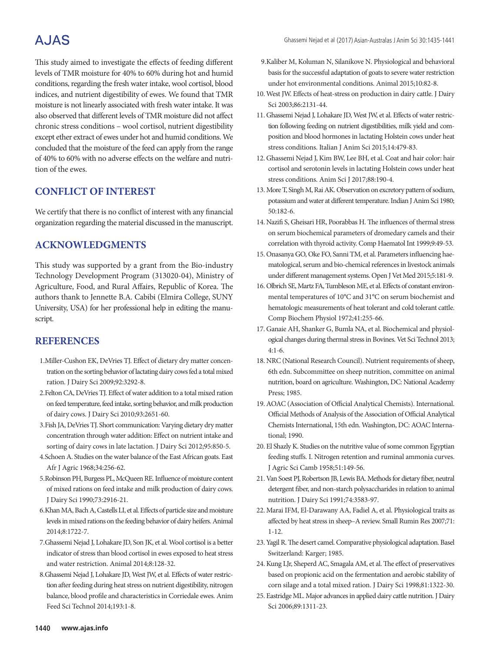This study aimed to investigate the effects of feeding different levels of TMR moisture for 40% to 60% during hot and humid conditions, regarding the fresh water intake, wool cortisol, blood indices, and nutrient digestibility of ewes. We found that TMR moisture is not linearly associated with fresh water intake. It was also observed that different levels of TMR moisture did not affect chronic stress conditions – wool cortisol, nutrient digestibility except ether extract of ewes under hot and humid conditions. We concluded that the moisture of the feed can apply from the range of 40% to 60% with no adverse effects on the welfare and nutrition of the ewes.

## **CONFLICT OF INTEREST**

We certify that there is no conflict of interest with any financial organization regarding the material discussed in the manuscript.

## **ACKNOWLEDGMENTS**

This study was supported by a grant from the Bio-industry Technology Development Program (313020-04), Ministry of Agriculture, Food, and Rural Affairs, Republic of Korea. The authors thank to Jennette B.A. Cabibi (Elmira College, SUNY University, USA) for her professional help in editing the manuscript.

#### **REFERENCES**

- 1.Miller-Cushon EK, DeVries TJ. Effect of dietary dry matter concentration on the sorting behavior of lactating dairy cows fed a total mixed ration. J Dairy Sci 2009;92:3292-8.
- 2.Felton CA, DeVries TJ. Effect of water addition to a total mixed ration on feed temperature, feed intake, sorting behavior, and milk production of dairy cows. J Dairy Sci 2010;93:2651-60.
- 3.Fish JA, DeVries TJ. Short communication: Varying dietary dry matter concentration through water addition: Effect on nutrient intake and sorting of dairy cows in late lactation. J Dairy Sci 2012;95:850-5.
- 4.Schoen A. Studies on the water balance of the East African goats. East Afr J Agric 1968;34:256-62.
- 5.Robinson PH, Burgess PL, McQueen RE. Influence of moisture content of mixed rations on feed intake and milk production of dairy cows. J Dairy Sci 1990;73:2916-21.
- 6.Khan MA, Bach A, Castells LI, et al. Effects of particle size and moisture levels in mixed rations on the feeding behavior of dairy heifers. Animal 2014;8:1722-7.
- 7.Ghassemi Nejad J, Lohakare JD, Son JK, et al. Wool cortisol is a better indicator of stress than blood cortisol in ewes exposed to heat stress and water restriction. Animal 2014;8:128-32.
- 8.Ghassemi Nejad J, Lohakare JD, West JW, et al. Effects of water restriction after feeding during heat stress on nutrient digestibility, nitrogen balance, blood profile and characteristics in Corriedale ewes. Anim Feed Sci Technol 2014;193:1-8.
- 9.Kaliber M, Koluman N, Silanikove N. Physiological and behavioral basis for the successful adaptation of goats to severe water restriction under hot environmental conditions. Animal 2015;10:82-8.
- 10. West JW. Effects of heat-stress on production in dairy cattle. J Dairy Sci 2003;86:2131-44.
- 11. Ghassemi Nejad J, Lohakare JD, West JW, et al. Effects of water restriction following feeding on nutrient digestibilities, milk yield and composition and blood hormones in lactating Holstein cows under heat stress conditions. Italian J Anim Sci 2015;14:479-83.
- 12. Ghassemi Nejad J, Kim BW, Lee BH, et al. Coat and hair color: hair cortisol and serotonin levels in lactating Holstein cows under heat stress conditions. Anim Sci J 2017;88:190-4.
- 13. More T, Singh M, Rai AK. Observation on excretory pattern of sodium, potassium and water at different temperature. Indian J Anim Sci 1980; 50:182-6.
- 14. Nazifi S, Gheisari HR, Poorabbas H. The influences of thermal stress on serum biochemical parameters of dromedary camels and their correlation with thyroid activity. Comp Haematol Int 1999;9:49-53.
- 15. Onasanya GO, Oke FO, Sanni TM, et al. Parameters influencing haematological, serum and bio-chemical references in livestock animals under different management systems. Open J Vet Med 2015;5:181-9.
- 16. Olbrich SE, Martz FA, Tumbleson ME, et al. Effects of constant environmental temperatures of 10°C and 31°C on serum biochemist and hematologic measurements of heat tolerant and cold tolerant cattle. Comp Biochem Physiol 1972;41:255-66.
- 17. Ganaie AH, Shanker G, Bumla NA, et al. Biochemical and physiological changes during thermal stress in Bovines. Vet Sci Technol 2013; 4:1-6.
- 18. NRC (National Research Council). Nutrient requirements of sheep, 6th edn. Subcommittee on sheep nutrition, committee on animal nutrition, board on agriculture. Washington, DC: National Academy Press; 1985.
- 19.AOAC (Association of Official Analytical Chemists). International. Official Methods of Analysis of the Association of Official Analytical Chemists International, 15th edn. Washington, DC: AOAC International; 1990.
- 20. El Shazly K. Studies on the nutritive value of some common Egyptian feeding stuffs. I. Nitrogen retention and ruminal ammonia curves. J Agric Sci Camb 1958;51:149-56.
- 21. Van Soest PJ, Robertson JB, Lewis BA. Methods for dietary fiber, neutral detergent fiber, and non-starch polysaccharides in relation to animal nutrition. J Dairy Sci 1991;74:3583-97.
- 22. Marai IFM, El-Darawany AA, Fadiel A, et al. Physiological traits as affected by heat stress in sheep–A review. Small Rumin Res 2007;71: 1-12.
- 23. Yagil R. The desert camel. Comparative physiological adaptation. Basel Switzerland: Karger; 1985.
- 24.Kung LJr, Sheperd AC, Smagala AM, et al. The effect of preservatives based on propionic acid on the fermentation and aerobic stability of corn silage and a total mixed ration. J Dairy Sci 1998;81:1322-30.
- 25. Eastridge ML. Major advances in applied dairy cattle nutrition. J Dairy Sci 2006;89:1311-23.